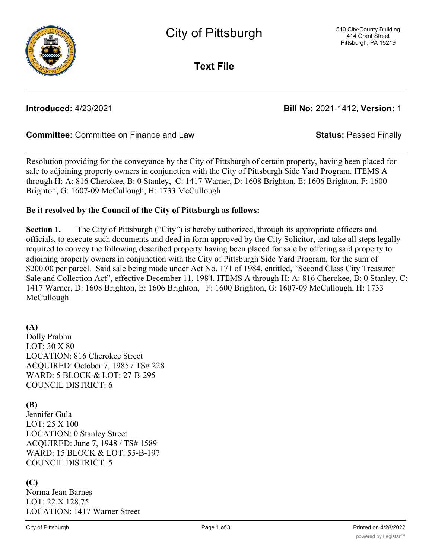

**Text File**

## **Introduced:** 4/23/2021 **Bill No:** 2021-1412, **Version:** 1

## **Committee:** Committee on Finance and Law **Status:** Passed Finally

Resolution providing for the conveyance by the City of Pittsburgh of certain property, having been placed for sale to adjoining property owners in conjunction with the City of Pittsburgh Side Yard Program. ITEMS A through H: A: 816 Cherokee, B: 0 Stanley, C: 1417 Warner, D: 1608 Brighton, E: 1606 Brighton, F: 1600 Brighton, G: 1607-09 McCullough, H: 1733 McCullough

### **Be it resolved by the Council of the City of Pittsburgh as follows:**

**Section 1.** The City of Pittsburgh ("City") is hereby authorized, through its appropriate officers and officials, to execute such documents and deed in form approved by the City Solicitor, and take all steps legally required to convey the following described property having been placed for sale by offering said property to adjoining property owners in conjunction with the City of Pittsburgh Side Yard Program, for the sum of \$200.00 per parcel. Said sale being made under Act No. 171 of 1984, entitled, "Second Class City Treasurer Sale and Collection Act", effective December 11, 1984. ITEMS A through H: A: 816 Cherokee, B: 0 Stanley, C: 1417 Warner, D: 1608 Brighton, E: 1606 Brighton, F: 1600 Brighton, G: 1607-09 McCullough, H: 1733 McCullough

### **(A)**

Dolly Prabhu LOT: 30 X 80 LOCATION: 816 Cherokee Street ACQUIRED: October 7, 1985 / TS# 228 WARD: 5 BLOCK & LOT: 27-B-295 COUNCIL DISTRICT: 6

### **(B)**

Jennifer Gula LOT: 25 X 100 LOCATION: 0 Stanley Street ACQUIRED: June 7, 1948 / TS# 1589 WARD: 15 BLOCK & LOT: 55-B-197 COUNCIL DISTRICT: 5

## **(C)**

Norma Jean Barnes LOT: 22 X 128.75 LOCATION: 1417 Warner Street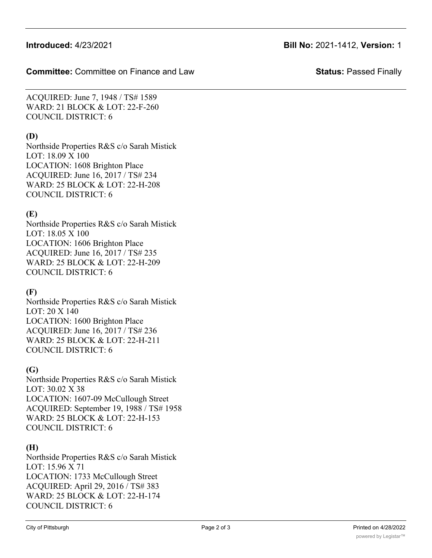### **Committee:** Committee on Finance and Law **Status:** Passed Finally

ACQUIRED: June 7, 1948 / TS# 1589 WARD: 21 BLOCK & LOT: 22-F-260 COUNCIL DISTRICT: 6

# **(D)**

Northside Properties R&S c/o Sarah Mistick LOT: 18.09 X 100 LOCATION: 1608 Brighton Place ACQUIRED: June 16, 2017 / TS# 234 WARD: 25 BLOCK & LOT: 22-H-208 COUNCIL DISTRICT: 6

## **(E)**

Northside Properties R&S c/o Sarah Mistick LOT: 18.05 X 100 LOCATION: 1606 Brighton Place ACQUIRED: June 16, 2017 / TS# 235 WARD: 25 BLOCK & LOT: 22-H-209 COUNCIL DISTRICT: 6

## **(F)**

Northside Properties R&S c/o Sarah Mistick LOT: 20 X 140 LOCATION: 1600 Brighton Place ACQUIRED: June 16, 2017 / TS# 236 WARD: 25 BLOCK & LOT: 22-H-211 COUNCIL DISTRICT: 6

## **(G)**

Northside Properties R&S c/o Sarah Mistick LOT: 30.02 X 38 LOCATION: 1607-09 McCullough Street ACQUIRED: September 19, 1988 / TS# 1958 WARD: 25 BLOCK & LOT: 22-H-153 COUNCIL DISTRICT: 6

## **(H)**

Northside Properties R&S c/o Sarah Mistick LOT: 15.96 X 71 LOCATION: 1733 McCullough Street ACQUIRED: April 29, 2016 / TS# 383 WARD: 25 BLOCK & LOT: 22-H-174 COUNCIL DISTRICT: 6